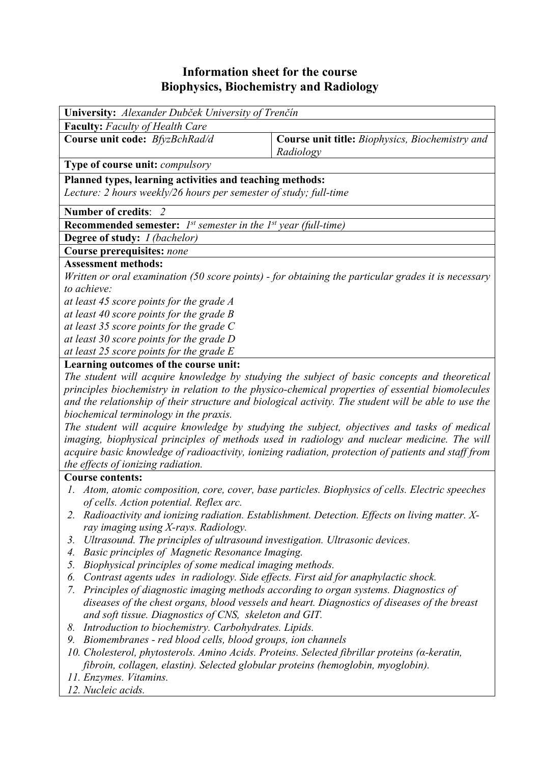## **Information sheet for the course Biophysics, Biochemistry and Radiology**

| University: Alexander Dubček University of Trenčín                                                                                                                                                                                                  |                                                                                                     |  |  |  |  |  |  |
|-----------------------------------------------------------------------------------------------------------------------------------------------------------------------------------------------------------------------------------------------------|-----------------------------------------------------------------------------------------------------|--|--|--|--|--|--|
| <b>Faculty:</b> Faculty of Health Care                                                                                                                                                                                                              |                                                                                                     |  |  |  |  |  |  |
| Course unit code: BfyzBchRad/d                                                                                                                                                                                                                      | Course unit title: Biophysics, Biochemistry and<br>Radiology                                        |  |  |  |  |  |  |
| Type of course unit: compulsory                                                                                                                                                                                                                     |                                                                                                     |  |  |  |  |  |  |
| Planned types, learning activities and teaching methods:<br>Lecture: 2 hours weekly/26 hours per semester of study; full-time                                                                                                                       |                                                                                                     |  |  |  |  |  |  |
| Number of credits: 2                                                                                                                                                                                                                                |                                                                                                     |  |  |  |  |  |  |
| <b>Recommended semester:</b> $I^{st}$ semester in the $I^{st}$ year (full-time)                                                                                                                                                                     |                                                                                                     |  |  |  |  |  |  |
| <b>Degree of study:</b> <i>I (bachelor)</i>                                                                                                                                                                                                         |                                                                                                     |  |  |  |  |  |  |
| Course prerequisites: none                                                                                                                                                                                                                          |                                                                                                     |  |  |  |  |  |  |
| <b>Assessment methods:</b>                                                                                                                                                                                                                          |                                                                                                     |  |  |  |  |  |  |
| Written or oral examination (50 score points) - for obtaining the particular grades it is necessary                                                                                                                                                 |                                                                                                     |  |  |  |  |  |  |
| to achieve:                                                                                                                                                                                                                                         |                                                                                                     |  |  |  |  |  |  |
| at least 45 score points for the grade A                                                                                                                                                                                                            |                                                                                                     |  |  |  |  |  |  |
| at least 40 score points for the grade $B$                                                                                                                                                                                                          |                                                                                                     |  |  |  |  |  |  |
| at least 35 score points for the grade $C$                                                                                                                                                                                                          |                                                                                                     |  |  |  |  |  |  |
| at least 30 score points for the grade D                                                                                                                                                                                                            |                                                                                                     |  |  |  |  |  |  |
| at least 25 score points for the grade $E$                                                                                                                                                                                                          |                                                                                                     |  |  |  |  |  |  |
| Learning outcomes of the course unit:<br>The student will acquire knowledge by studying the subject of basic concepts and theoretical                                                                                                               |                                                                                                     |  |  |  |  |  |  |
| principles biochemistry in relation to the physico-chemical properties of essential biomolecules<br>and the relationship of their structure and biological activity. The student will be able to use the                                            |                                                                                                     |  |  |  |  |  |  |
| biochemical terminology in the praxis.                                                                                                                                                                                                              |                                                                                                     |  |  |  |  |  |  |
| The student will acquire knowledge by studying the subject, objectives and tasks of medical                                                                                                                                                         |                                                                                                     |  |  |  |  |  |  |
|                                                                                                                                                                                                                                                     | imaging, biophysical principles of methods used in radiology and nuclear medicine. The will         |  |  |  |  |  |  |
| the effects of ionizing radiation.                                                                                                                                                                                                                  | acquire basic knowledge of radioactivity, ionizing radiation, protection of patients and staff from |  |  |  |  |  |  |
| <b>Course contents:</b>                                                                                                                                                                                                                             |                                                                                                     |  |  |  |  |  |  |
| $I_{\star}$                                                                                                                                                                                                                                         | Atom, atomic composition, core, cover, base particles. Biophysics of cells. Electric speeches       |  |  |  |  |  |  |
| of cells. Action potential. Reflex arc.                                                                                                                                                                                                             |                                                                                                     |  |  |  |  |  |  |
|                                                                                                                                                                                                                                                     | 2. Radioactivity and ionizing radiation. Establishment. Detection. Effects on living matter. X-     |  |  |  |  |  |  |
| ray imaging using X-rays. Radiology.                                                                                                                                                                                                                |                                                                                                     |  |  |  |  |  |  |
| Ultrasound. The principles of ultrasound investigation. Ultrasonic devices.<br>3.                                                                                                                                                                   |                                                                                                     |  |  |  |  |  |  |
| Basic principles of Magnetic Resonance Imaging.<br>4.                                                                                                                                                                                               |                                                                                                     |  |  |  |  |  |  |
| 5.                                                                                                                                                                                                                                                  | Biophysical principles of some medical imaging methods.                                             |  |  |  |  |  |  |
| Contrast agents udes in radiology. Side effects. First aid for anaphylactic shock.<br>6.                                                                                                                                                            |                                                                                                     |  |  |  |  |  |  |
| Principles of diagnostic imaging methods according to organ systems. Diagnostics of<br>7.<br>diseases of the chest organs, blood vessels and heart. Diagnostics of diseases of the breast<br>and soft tissue. Diagnostics of CNS, skeleton and GIT. |                                                                                                     |  |  |  |  |  |  |
| Introduction to biochemistry. Carbohydrates. Lipids.<br>8.                                                                                                                                                                                          |                                                                                                     |  |  |  |  |  |  |
| Biomembranes - red blood cells, blood groups, ion channels<br>9.                                                                                                                                                                                    |                                                                                                     |  |  |  |  |  |  |
| 10. Cholesterol, phytosterols. Amino Acids. Proteins. Selected fibrillar proteins ( $\alpha$ -keratin,                                                                                                                                              |                                                                                                     |  |  |  |  |  |  |
| fibroin, collagen, elastin). Selected globular proteins (hemoglobin, myoglobin).                                                                                                                                                                    |                                                                                                     |  |  |  |  |  |  |
| 11. Enzymes. Vitamins.                                                                                                                                                                                                                              |                                                                                                     |  |  |  |  |  |  |
| 12. Nucleic acids.                                                                                                                                                                                                                                  |                                                                                                     |  |  |  |  |  |  |